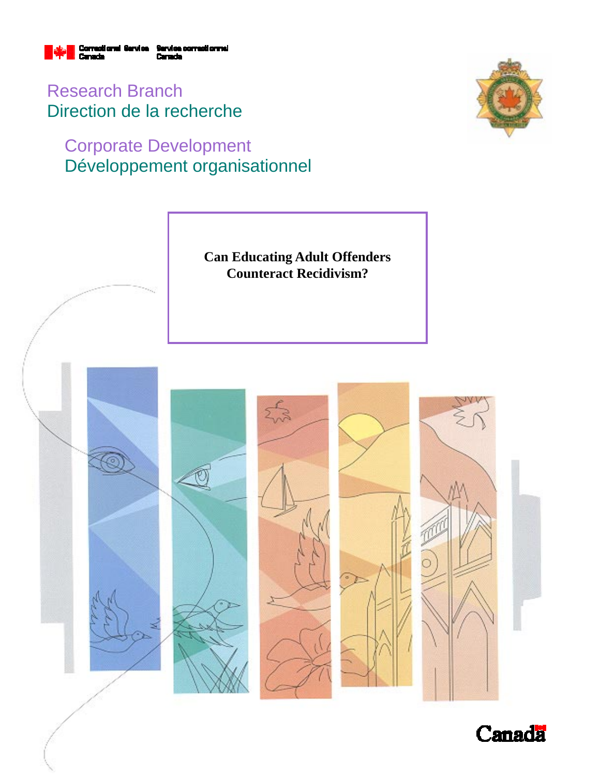

Research Branch Direction de la recherche

# Corporate Development Développement organisationnel





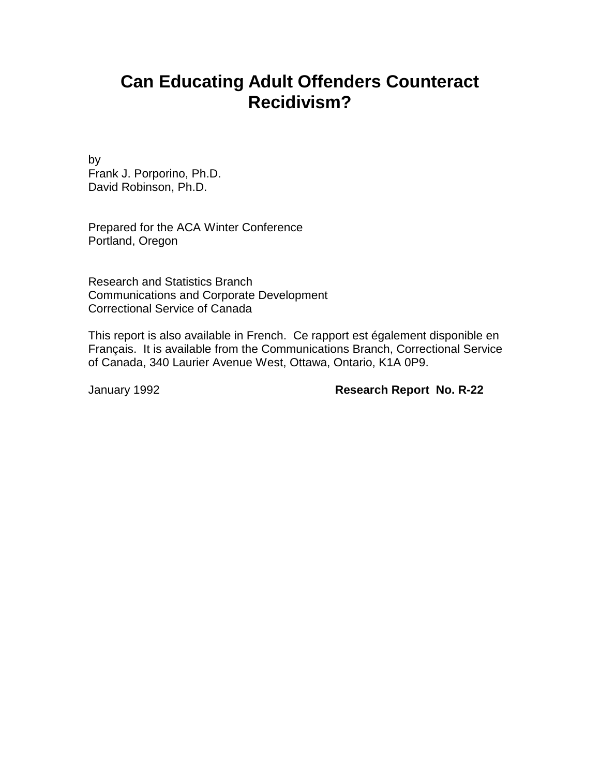# **Can Educating Adult Offenders Counteract Recidivism?**

by Frank J. Porporino, Ph.D. David Robinson, Ph.D.

Prepared for the ACA Winter Conference Portland, Oregon

Research and Statistics Branch Communications and Corporate Development Correctional Service of Canada

This report is also available in French. Ce rapport est également disponible en Français. It is available from the Communications Branch, Correctional Service of Canada, 340 Laurier Avenue West, Ottawa, Ontario, K1A 0P9.

January 1992 **Research Report No. R-22**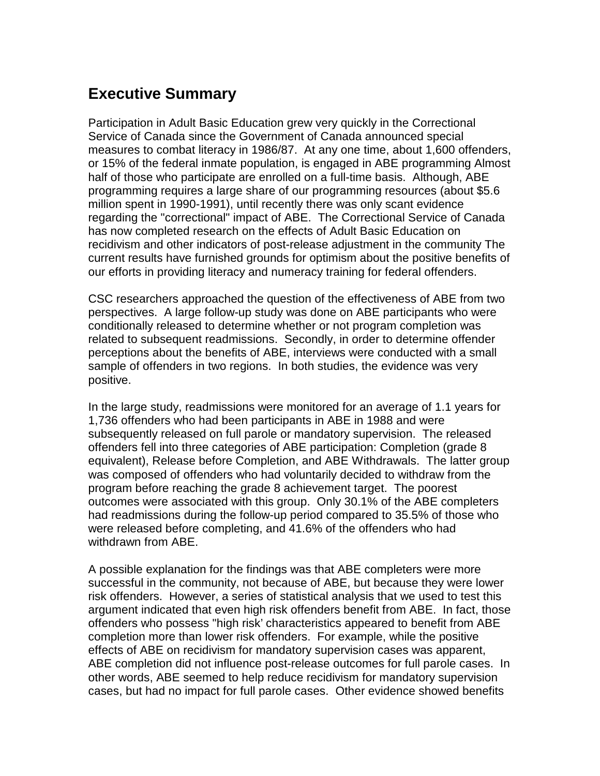## **Executive Summary**

Participation in Adult Basic Education grew very quickly in the Correctional Service of Canada since the Government of Canada announced special measures to combat literacy in 1986/87. At any one time, about 1,600 offenders, or 15% of the federal inmate population, is engaged in ABE programming Almost half of those who participate are enrolled on a full-time basis. Although, ABE programming requires a large share of our programming resources (about \$5.6 million spent in 1990-1991), until recently there was only scant evidence regarding the "correctional" impact of ABE. The Correctional Service of Canada has now completed research on the effects of Adult Basic Education on recidivism and other indicators of post-release adjustment in the community The current results have furnished grounds for optimism about the positive benefits of our efforts in providing literacy and numeracy training for federal offenders.

CSC researchers approached the question of the effectiveness of ABE from two perspectives. A large follow-up study was done on ABE participants who were conditionally released to determine whether or not program completion was related to subsequent readmissions. Secondly, in order to determine offender perceptions about the benefits of ABE, interviews were conducted with a small sample of offenders in two regions. In both studies, the evidence was very positive.

In the large study, readmissions were monitored for an average of 1.1 years for 1,736 offenders who had been participants in ABE in 1988 and were subsequently released on full parole or mandatory supervision. The released offenders fell into three categories of ABE participation: Completion (grade 8 equivalent), Release before Completion, and ABE Withdrawals. The latter group was composed of offenders who had voluntarily decided to withdraw from the program before reaching the grade 8 achievement target. The poorest outcomes were associated with this group. Only 30.1% of the ABE completers had readmissions during the follow-up period compared to 35.5% of those who were released before completing, and 41.6% of the offenders who had withdrawn from ABE.

A possible explanation for the findings was that ABE completers were more successful in the community, not because of ABE, but because they were lower risk offenders. However, a series of statistical analysis that we used to test this argument indicated that even high risk offenders benefit from ABE. In fact, those offenders who possess "high risk' characteristics appeared to benefit from ABE completion more than lower risk offenders. For example, while the positive effects of ABE on recidivism for mandatory supervision cases was apparent, ABE completion did not influence post-release outcomes for full parole cases. In other words, ABE seemed to help reduce recidivism for mandatory supervision cases, but had no impact for full parole cases. Other evidence showed benefits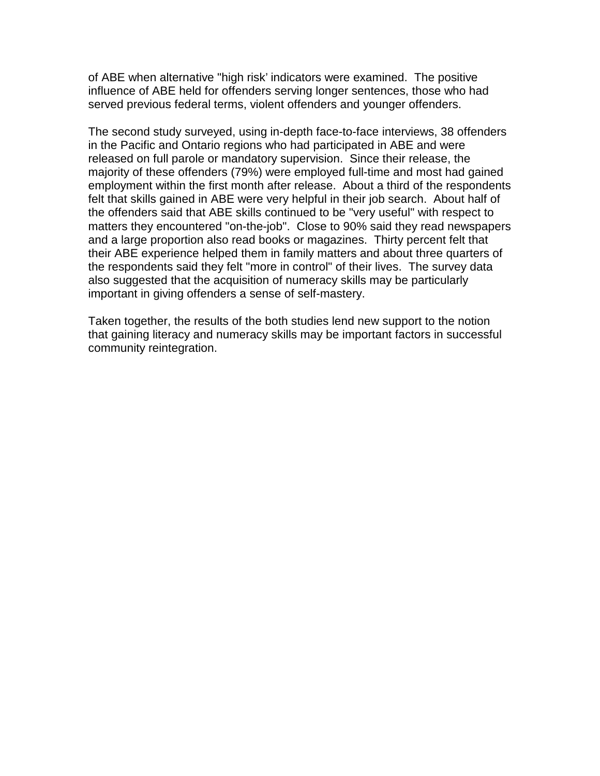of ABE when alternative "high risk' indicators were examined. The positive influence of ABE held for offenders serving longer sentences, those who had served previous federal terms, violent offenders and younger offenders.

The second study surveyed, using in-depth face-to-face interviews, 38 offenders in the Pacific and Ontario regions who had participated in ABE and were released on full parole or mandatory supervision. Since their release, the majority of these offenders (79%) were employed full-time and most had gained employment within the first month after release. About a third of the respondents felt that skills gained in ABE were very helpful in their job search. About half of the offenders said that ABE skills continued to be "very useful" with respect to matters they encountered "on-the-job". Close to 90% said they read newspapers and a large proportion also read books or magazines. Thirty percent felt that their ABE experience helped them in family matters and about three quarters of the respondents said they felt "more in control" of their lives. The survey data also suggested that the acquisition of numeracy skills may be particularly important in giving offenders a sense of self-mastery.

Taken together, the results of the both studies lend new support to the notion that gaining literacy and numeracy skills may be important factors in successful community reintegration.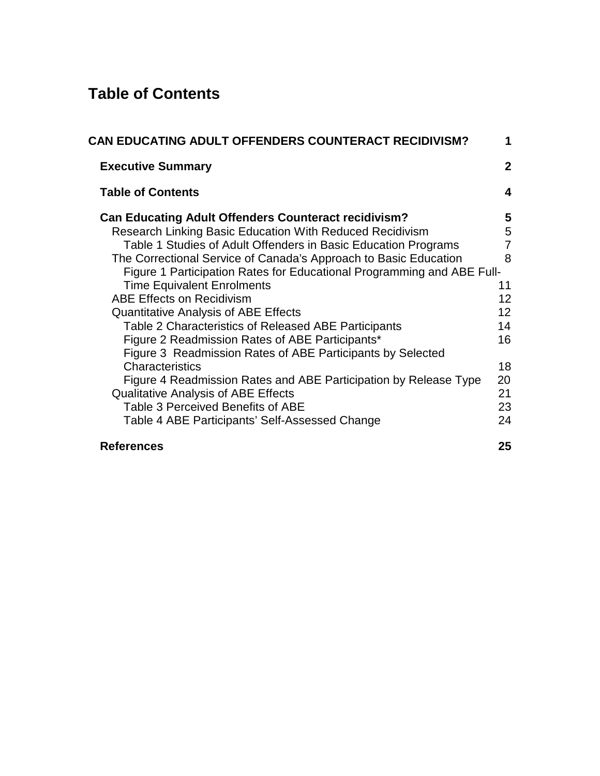# **Table of Contents**

| <b>CAN EDUCATING ADULT OFFENDERS COUNTERACT RECIDIVISM?</b>            | 1                       |
|------------------------------------------------------------------------|-------------------------|
| <b>Executive Summary</b>                                               | $\overline{2}$          |
| <b>Table of Contents</b>                                               | $\overline{\mathbf{4}}$ |
| <b>Can Educating Adult Offenders Counteract recidivism?</b>            | 5                       |
| <b>Research Linking Basic Education With Reduced Recidivism</b>        | 5                       |
| Table 1 Studies of Adult Offenders in Basic Education Programs         | $\overline{7}$          |
| The Correctional Service of Canada's Approach to Basic Education       | 8                       |
| Figure 1 Participation Rates for Educational Programming and ABE Full- |                         |
| <b>Time Equivalent Enrolments</b>                                      | 11                      |
| <b>ABE Effects on Recidivism</b>                                       | 12                      |
| <b>Quantitative Analysis of ABE Effects</b>                            | 12                      |
| Table 2 Characteristics of Released ABE Participants                   | 14                      |
| Figure 2 Readmission Rates of ABE Participants*                        | 16                      |
| Figure 3 Readmission Rates of ABE Participants by Selected             |                         |
| Characteristics                                                        | 18                      |
| Figure 4 Readmission Rates and ABE Participation by Release Type       | 20                      |
| <b>Qualitative Analysis of ABE Effects</b>                             | 21                      |
| Table 3 Perceived Benefits of ABE                                      | 23                      |
| Table 4 ABE Participants' Self-Assessed Change                         | 24                      |
| <b>References</b>                                                      | 25                      |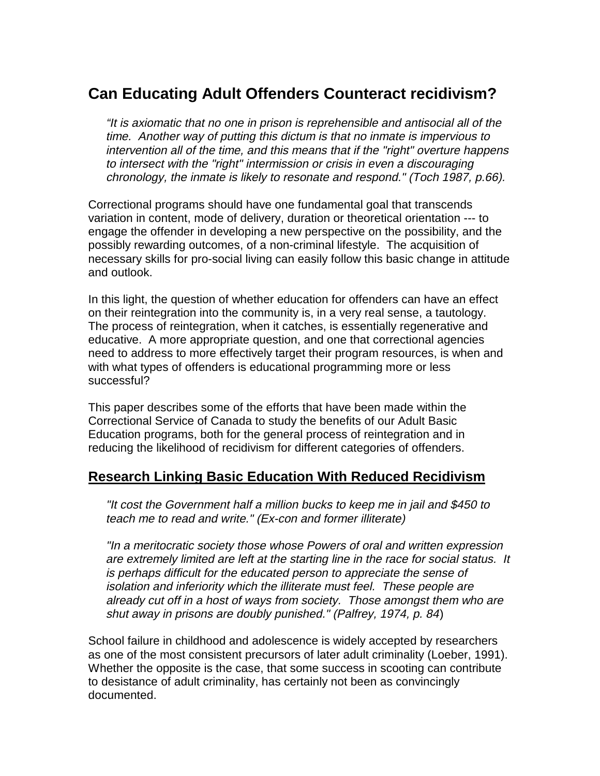## **Can Educating Adult Offenders Counteract recidivism?**

"It is axiomatic that no one in prison is reprehensible and antisocial all of the time. Another way of putting this dictum is that no inmate is impervious to intervention all of the time, and this means that if the "right" overture happens to intersect with the "right" intermission or crisis in even a discouraging chronology, the inmate is likely to resonate and respond." (Toch 1987, p.66).

Correctional programs should have one fundamental goal that transcends variation in content, mode of delivery, duration or theoretical orientation --- to engage the offender in developing a new perspective on the possibility, and the possibly rewarding outcomes, of a non-criminal lifestyle. The acquisition of necessary skills for pro-social living can easily follow this basic change in attitude and outlook.

In this light, the question of whether education for offenders can have an effect on their reintegration into the community is, in a very real sense, a tautology. The process of reintegration, when it catches, is essentially regenerative and educative. A more appropriate question, and one that correctional agencies need to address to more effectively target their program resources, is when and with what types of offenders is educational programming more or less successful?

This paper describes some of the efforts that have been made within the Correctional Service of Canada to study the benefits of our Adult Basic Education programs, both for the general process of reintegration and in reducing the likelihood of recidivism for different categories of offenders.

#### **Research Linking Basic Education With Reduced Recidivism**

"It cost the Government half a million bucks to keep me in jail and \$450 to teach me to read and write." (Ex-con and former illiterate)

"In a meritocratic society those whose Powers of oral and written expression are extremely limited are left at the starting line in the race for social status. It is perhaps difficult for the educated person to appreciate the sense of isolation and inferiority which the illiterate must feel. These people are already cut off in a host of ways from society. Those amongst them who are shut away in prisons are doubly punished." (Palfrey, 1974, p. 84)

School failure in childhood and adolescence is widely accepted by researchers as one of the most consistent precursors of later adult criminality (Loeber, 1991). Whether the opposite is the case, that some success in scooting can contribute to desistance of adult criminality, has certainly not been as convincingly documented.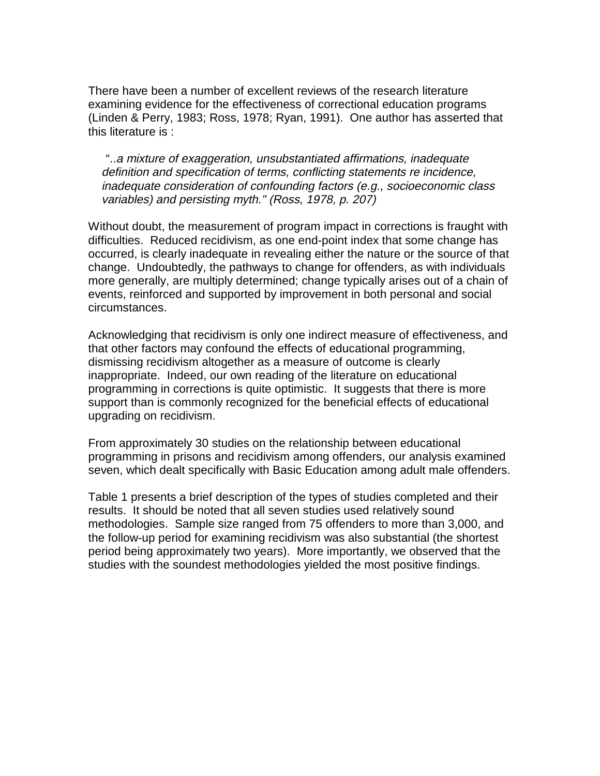There have been a number of excellent reviews of the research literature examining evidence for the effectiveness of correctional education programs (Linden & Perry, 1983; Ross, 1978; Ryan, 1991). One author has asserted that this literature is :

"..a mixture of exaggeration, unsubstantiated affirmations, inadequate definition and specification of terms, conflicting statements re incidence, inadequate consideration of confounding factors (e.g., socioeconomic class variables) and persisting myth." (Ross, 1978, p. 207)

Without doubt, the measurement of program impact in corrections is fraught with difficulties. Reduced recidivism, as one end-point index that some change has occurred, is clearly inadequate in revealing either the nature or the source of that change. Undoubtedly, the pathways to change for offenders, as with individuals more generally, are multiply determined; change typically arises out of a chain of events, reinforced and supported by improvement in both personal and social circumstances.

Acknowledging that recidivism is only one indirect measure of effectiveness, and that other factors may confound the effects of educational programming, dismissing recidivism altogether as a measure of outcome is clearly inappropriate. Indeed, our own reading of the literature on educational programming in corrections is quite optimistic. It suggests that there is more support than is commonly recognized for the beneficial effects of educational upgrading on recidivism.

From approximately 30 studies on the relationship between educational programming in prisons and recidivism among offenders, our analysis examined seven, which dealt specifically with Basic Education among adult male offenders.

Table 1 presents a brief description of the types of studies completed and their results. It should be noted that all seven studies used relatively sound methodologies. Sample size ranged from 75 offenders to more than 3,000, and the follow-up period for examining recidivism was also substantial (the shortest period being approximately two years). More importantly, we observed that the studies with the soundest methodologies yielded the most positive findings.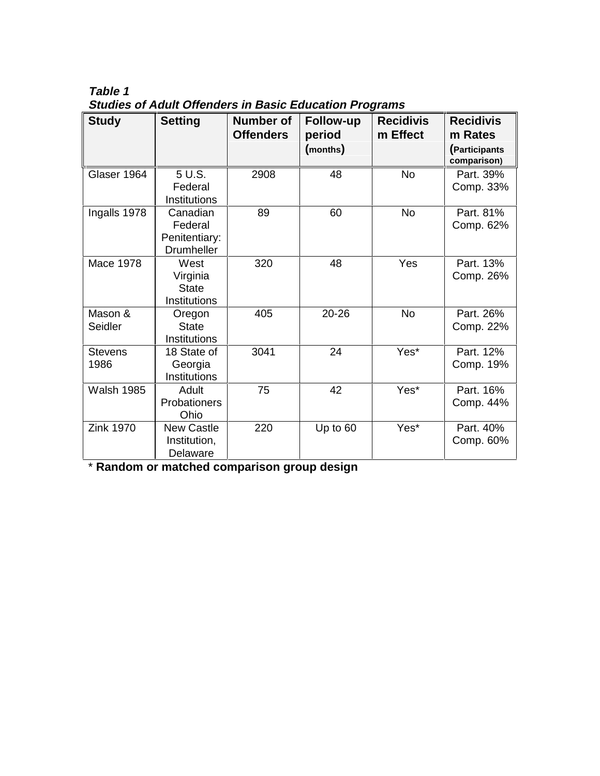**Table 1 Studies of Adult Offenders in Basic Education Programs**

| <b>Study</b>           | <b>Setting</b>                                            | Number of<br><b>Offenders</b> | Follow-up<br>period<br>(months) | <b>Recidivis</b><br>m Effect | <b>Recidivis</b><br>m Rates<br>(Participants<br>comparison) |
|------------------------|-----------------------------------------------------------|-------------------------------|---------------------------------|------------------------------|-------------------------------------------------------------|
| Glaser 1964            | 5 U.S.<br>Federal<br>Institutions                         | 2908                          | 48                              | <b>No</b>                    | Part. 39%<br>Comp. 33%                                      |
| Ingalls 1978           | Canadian<br>Federal<br>Penitentiary:<br><b>Drumheller</b> | 89                            | 60                              | <b>No</b>                    | Part. 81%<br>Comp. 62%                                      |
| Mace 1978              | West<br>Virginia<br><b>State</b><br>Institutions          | 320                           | 48                              | Yes                          | Part. 13%<br>Comp. 26%                                      |
| Mason &<br>Seidler     | Oregon<br><b>State</b><br>Institutions                    | 405                           | $20 - 26$                       | <b>No</b>                    | Part. 26%<br>Comp. 22%                                      |
| <b>Stevens</b><br>1986 | 18 State of<br>Georgia<br>Institutions                    | 3041                          | 24                              | Yes*                         | Part. 12%<br>Comp. 19%                                      |
| <b>Walsh 1985</b>      | Adult<br>Probationers<br>Ohio                             | 75                            | 42                              | Yes*                         | Part. 16%<br>Comp. 44%                                      |
| <b>Zink 1970</b>       | <b>New Castle</b><br>Institution,<br>Delaware             | 220                           | Up to 60                        | Yes*                         | Part. 40%<br>Comp. 60%                                      |

\* **Random or matched comparison group design**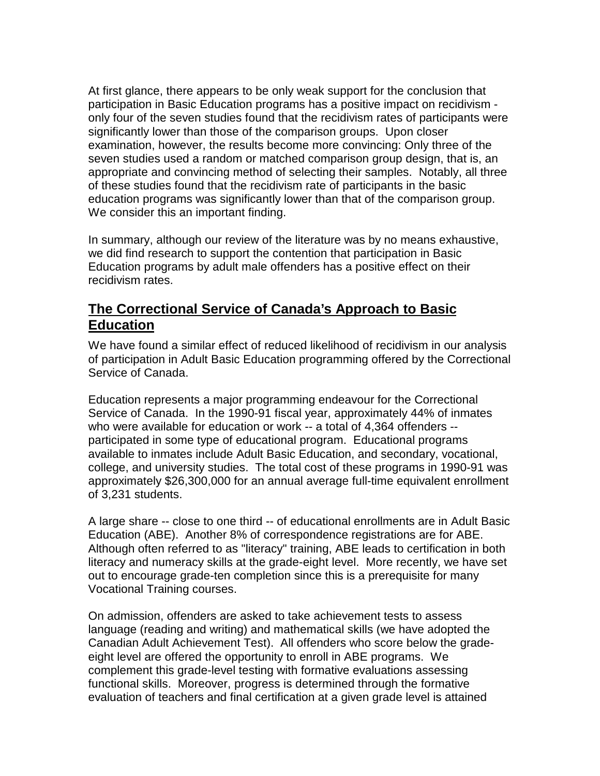At first glance, there appears to be only weak support for the conclusion that participation in Basic Education programs has a positive impact on recidivism only four of the seven studies found that the recidivism rates of participants were significantly lower than those of the comparison groups. Upon closer examination, however, the results become more convincing: Only three of the seven studies used a random or matched comparison group design, that is, an appropriate and convincing method of selecting their samples. Notably, all three of these studies found that the recidivism rate of participants in the basic education programs was significantly lower than that of the comparison group. We consider this an important finding.

In summary, although our review of the literature was by no means exhaustive, we did find research to support the contention that participation in Basic Education programs by adult male offenders has a positive effect on their recidivism rates.

### **The Correctional Service of Canada's Approach to Basic Education**

We have found a similar effect of reduced likelihood of recidivism in our analysis of participation in Adult Basic Education programming offered by the Correctional Service of Canada.

Education represents a major programming endeavour for the Correctional Service of Canada. In the 1990-91 fiscal year, approximately 44% of inmates who were available for education or work -- a total of 4,364 offenders - participated in some type of educational program. Educational programs available to inmates include Adult Basic Education, and secondary, vocational, college, and university studies. The total cost of these programs in 1990-91 was approximately \$26,300,000 for an annual average full-time equivalent enrollment of 3,231 students.

A large share -- close to one third -- of educational enrollments are in Adult Basic Education (ABE). Another 8% of correspondence registrations are for ABE. Although often referred to as "literacy" training, ABE leads to certification in both literacy and numeracy skills at the grade-eight level. More recently, we have set out to encourage grade-ten completion since this is a prerequisite for many Vocational Training courses.

On admission, offenders are asked to take achievement tests to assess language (reading and writing) and mathematical skills (we have adopted the Canadian Adult Achievement Test). All offenders who score below the gradeeight level are offered the opportunity to enroll in ABE programs. We complement this grade-level testing with formative evaluations assessing functional skills. Moreover, progress is determined through the formative evaluation of teachers and final certification at a given grade level is attained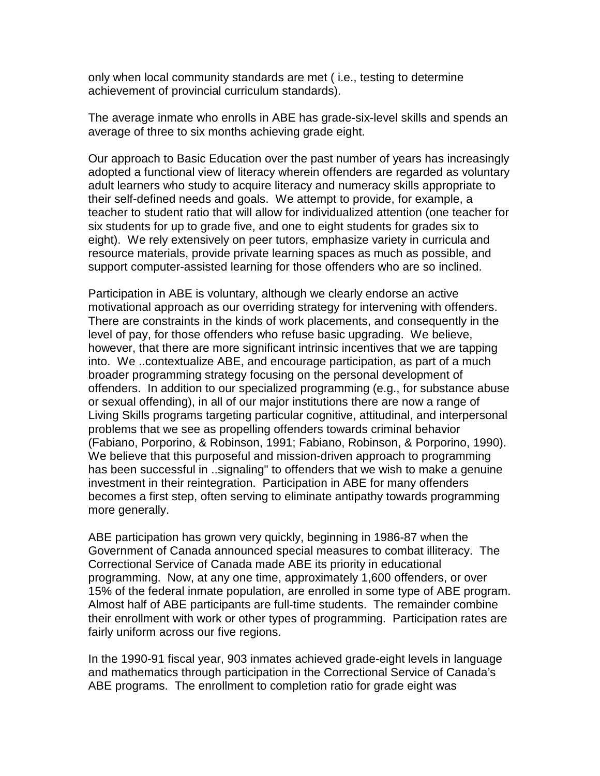only when local community standards are met ( i.e., testing to determine achievement of provincial curriculum standards).

The average inmate who enrolls in ABE has grade-six-level skills and spends an average of three to six months achieving grade eight.

Our approach to Basic Education over the past number of years has increasingly adopted a functional view of literacy wherein offenders are regarded as voluntary adult learners who study to acquire literacy and numeracy skills appropriate to their self-defined needs and goals. We attempt to provide, for example, a teacher to student ratio that will allow for individualized attention (one teacher for six students for up to grade five, and one to eight students for grades six to eight). We rely extensively on peer tutors, emphasize variety in curricula and resource materials, provide private learning spaces as much as possible, and support computer-assisted learning for those offenders who are so inclined.

Participation in ABE is voluntary, although we clearly endorse an active motivational approach as our overriding strategy for intervening with offenders. There are constraints in the kinds of work placements, and consequently in the level of pay, for those offenders who refuse basic upgrading. We believe, however, that there are more significant intrinsic incentives that we are tapping into. We ..contextualize ABE, and encourage participation, as part of a much broader programming strategy focusing on the personal development of offenders. In addition to our specialized programming (e.g., for substance abuse or sexual offending), in all of our major institutions there are now a range of Living Skills programs targeting particular cognitive, attitudinal, and interpersonal problems that we see as propelling offenders towards criminal behavior (Fabiano, Porporino, & Robinson, 1991; Fabiano, Robinson, & Porporino, 1990). We believe that this purposeful and mission-driven approach to programming has been successful in ..signaling" to offenders that we wish to make a genuine investment in their reintegration. Participation in ABE for many offenders becomes a first step, often serving to eliminate antipathy towards programming more generally.

ABE participation has grown very quickly, beginning in 1986-87 when the Government of Canada announced special measures to combat illiteracy. The Correctional Service of Canada made ABE its priority in educational programming. Now, at any one time, approximately 1,600 offenders, or over 15% of the federal inmate population, are enrolled in some type of ABE program. Almost half of ABE participants are full-time students. The remainder combine their enrollment with work or other types of programming. Participation rates are fairly uniform across our five regions.

In the 1990-91 fiscal year, 903 inmates achieved grade-eight levels in language and mathematics through participation in the Correctional Service of Canada's ABE programs. The enrollment to completion ratio for grade eight was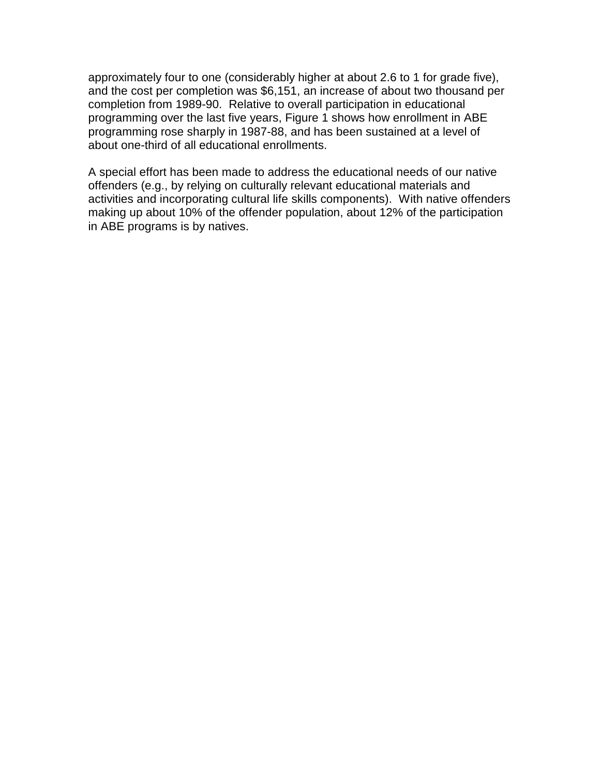approximately four to one (considerably higher at about 2.6 to 1 for grade five), and the cost per completion was \$6,151, an increase of about two thousand per completion from 1989-90. Relative to overall participation in educational programming over the last five years, Figure 1 shows how enrollment in ABE programming rose sharply in 1987-88, and has been sustained at a level of about one-third of all educational enrollments.

A special effort has been made to address the educational needs of our native offenders (e.g., by relying on culturally relevant educational materials and activities and incorporating cultural life skills components). With native offenders making up about 10% of the offender population, about 12% of the participation in ABE programs is by natives.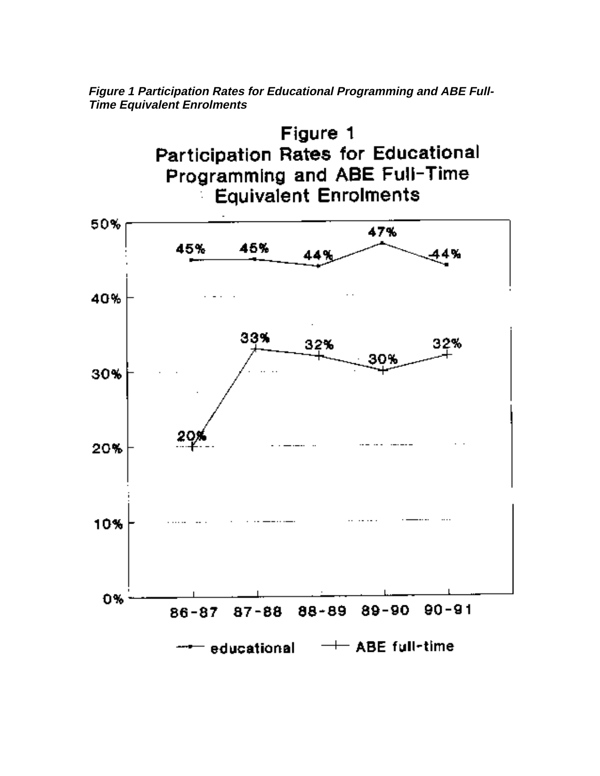

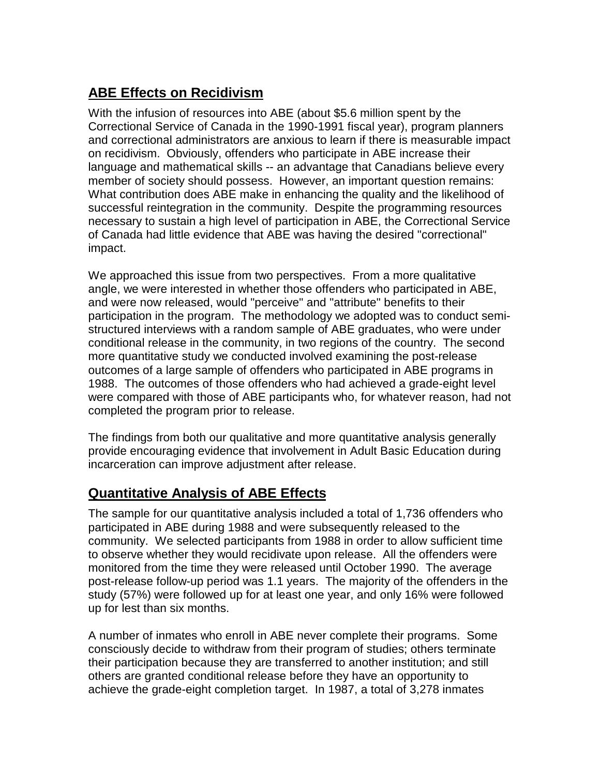## **ABE Effects on Recidivism**

With the infusion of resources into ABE (about \$5.6 million spent by the Correctional Service of Canada in the 1990-1991 fiscal year), program planners and correctional administrators are anxious to learn if there is measurable impact on recidivism. Obviously, offenders who participate in ABE increase their language and mathematical skills -- an advantage that Canadians believe every member of society should possess. However, an important question remains: What contribution does ABE make in enhancing the quality and the likelihood of successful reintegration in the community. Despite the programming resources necessary to sustain a high level of participation in ABE, the Correctional Service of Canada had little evidence that ABE was having the desired "correctional" impact.

We approached this issue from two perspectives. From a more qualitative angle, we were interested in whether those offenders who participated in ABE, and were now released, would "perceive" and "attribute" benefits to their participation in the program. The methodology we adopted was to conduct semistructured interviews with a random sample of ABE graduates, who were under conditional release in the community, in two regions of the country. The second more quantitative study we conducted involved examining the post-release outcomes of a large sample of offenders who participated in ABE programs in 1988. The outcomes of those offenders who had achieved a grade-eight level were compared with those of ABE participants who, for whatever reason, had not completed the program prior to release.

The findings from both our qualitative and more quantitative analysis generally provide encouraging evidence that involvement in Adult Basic Education during incarceration can improve adjustment after release.

### **Quantitative Analysis of ABE Effects**

The sample for our quantitative analysis included a total of 1,736 offenders who participated in ABE during 1988 and were subsequently released to the community. We selected participants from 1988 in order to allow sufficient time to observe whether they would recidivate upon release. All the offenders were monitored from the time they were released until October 1990. The average post-release follow-up period was 1.1 years. The majority of the offenders in the study (57%) were followed up for at least one year, and only 16% were followed up for lest than six months.

A number of inmates who enroll in ABE never complete their programs. Some consciously decide to withdraw from their program of studies; others terminate their participation because they are transferred to another institution; and still others are granted conditional release before they have an opportunity to achieve the grade-eight completion target. In 1987, a total of 3,278 inmates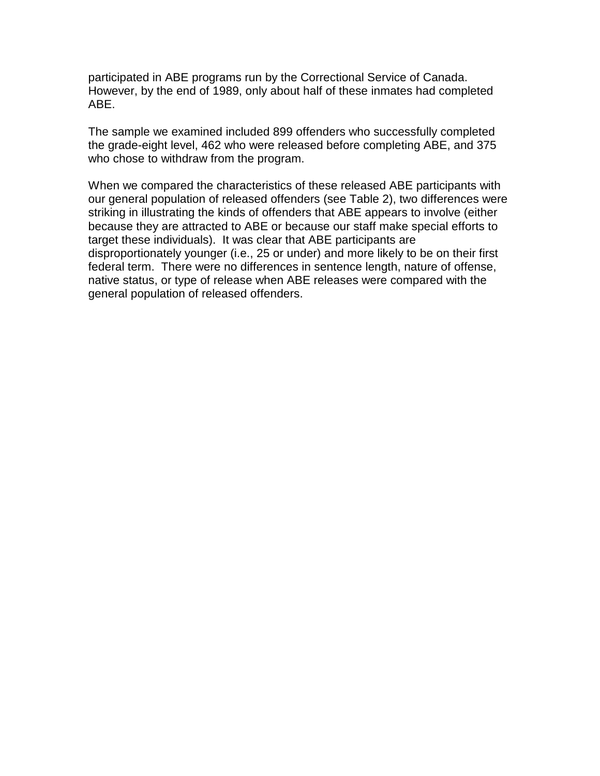participated in ABE programs run by the Correctional Service of Canada. However, by the end of 1989, only about half of these inmates had completed ABE.

The sample we examined included 899 offenders who successfully completed the grade-eight level, 462 who were released before completing ABE, and 375 who chose to withdraw from the program.

When we compared the characteristics of these released ABE participants with our general population of released offenders (see Table 2), two differences were striking in illustrating the kinds of offenders that ABE appears to involve (either because they are attracted to ABE or because our staff make special efforts to target these individuals). It was clear that ABE participants are disproportionately younger (i.e., 25 or under) and more likely to be on their first federal term. There were no differences in sentence length, nature of offense, native status, or type of release when ABE releases were compared with the general population of released offenders.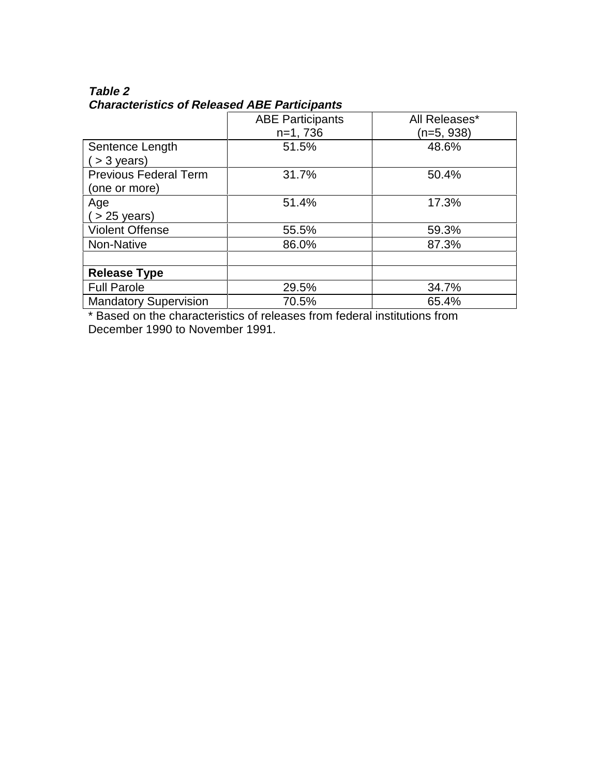|                              | <b>ABE Participants</b> | All Releases* |
|------------------------------|-------------------------|---------------|
|                              | $n=1,736$               | (n=5, 938)    |
| Sentence Length              | 51.5%                   | 48.6%         |
| $( > 3$ years)               |                         |               |
| <b>Previous Federal Term</b> | 31.7%                   | 50.4%         |
| (one or more)                |                         |               |
| Age                          | 51.4%                   | 17.3%         |
| $($ > 25 years)              |                         |               |
| <b>Violent Offense</b>       | 55.5%                   | 59.3%         |
| Non-Native                   | 86.0%                   | 87.3%         |
|                              |                         |               |
| <b>Release Type</b>          |                         |               |
| <b>Full Parole</b>           | 29.5%                   | 34.7%         |
| <b>Mandatory Supervision</b> | 70.5%                   | 65.4%         |

**Table 2 Characteristics of Released ABE Participants**

\* Based on the characteristics of releases from federal institutions from December 1990 to November 1991.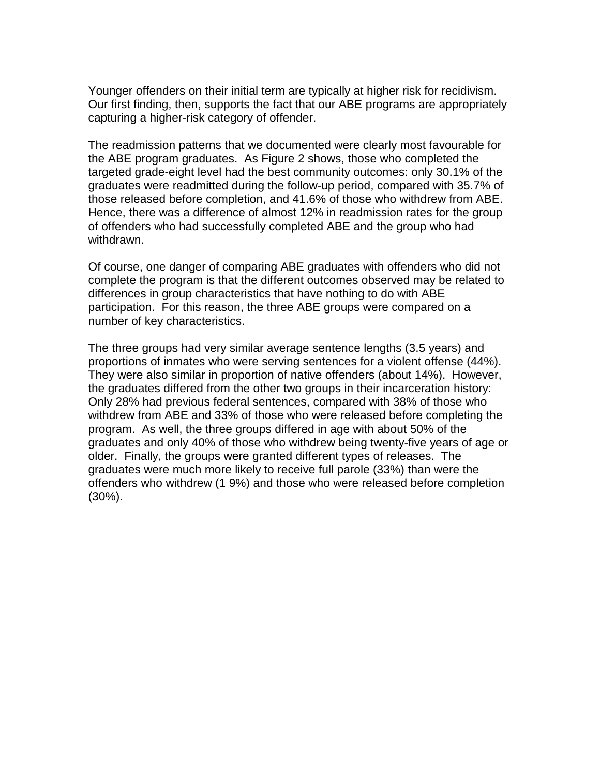Younger offenders on their initial term are typically at higher risk for recidivism. Our first finding, then, supports the fact that our ABE programs are appropriately capturing a higher-risk category of offender.

The readmission patterns that we documented were clearly most favourable for the ABE program graduates. As Figure 2 shows, those who completed the targeted grade-eight level had the best community outcomes: only 30.1% of the graduates were readmitted during the follow-up period, compared with 35.7% of those released before completion, and 41.6% of those who withdrew from ABE. Hence, there was a difference of almost 12% in readmission rates for the group of offenders who had successfully completed ABE and the group who had withdrawn.

Of course, one danger of comparing ABE graduates with offenders who did not complete the program is that the different outcomes observed may be related to differences in group characteristics that have nothing to do with ABE participation. For this reason, the three ABE groups were compared on a number of key characteristics.

The three groups had very similar average sentence lengths (3.5 years) and proportions of inmates who were serving sentences for a violent offense (44%). They were also similar in proportion of native offenders (about 14%). However, the graduates differed from the other two groups in their incarceration history: Only 28% had previous federal sentences, compared with 38% of those who withdrew from ABE and 33% of those who were released before completing the program. As well, the three groups differed in age with about 50% of the graduates and only 40% of those who withdrew being twenty-five years of age or older. Finally, the groups were granted different types of releases. The graduates were much more likely to receive full parole (33%) than were the offenders who withdrew (1 9%) and those who were released before completion (30%).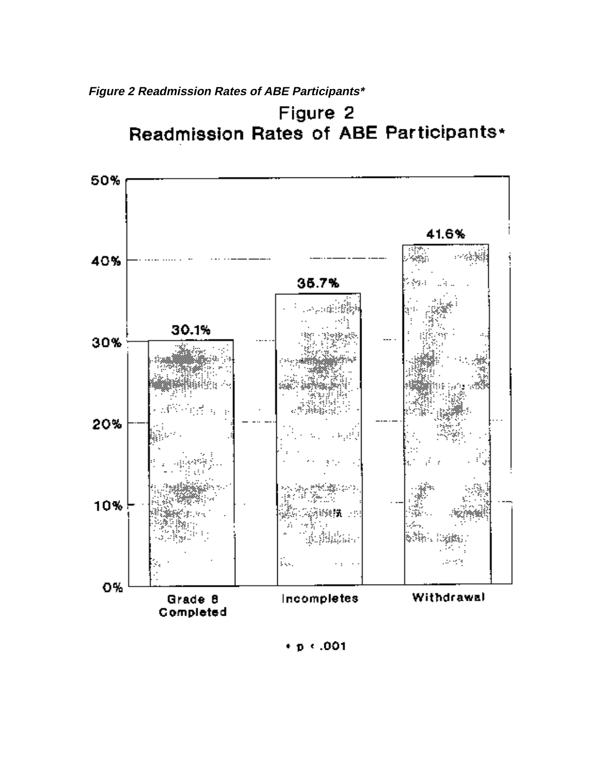**Figure 2 Readmission Rates of ABE Participants\***



 $* p * .001$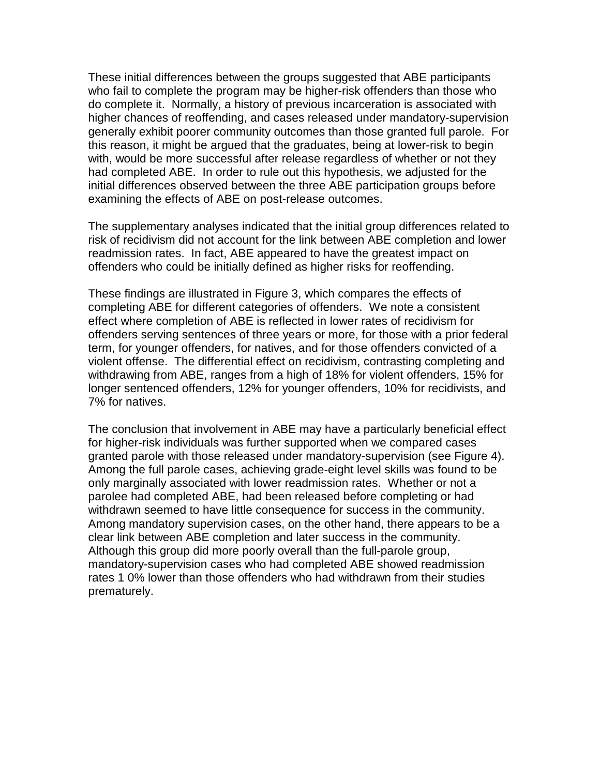These initial differences between the groups suggested that ABE participants who fail to complete the program may be higher-risk offenders than those who do complete it. Normally, a history of previous incarceration is associated with higher chances of reoffending, and cases released under mandatory-supervision generally exhibit poorer community outcomes than those granted full parole. For this reason, it might be argued that the graduates, being at lower-risk to begin with, would be more successful after release regardless of whether or not they had completed ABE. In order to rule out this hypothesis, we adjusted for the initial differences observed between the three ABE participation groups before examining the effects of ABE on post-release outcomes.

The supplementary analyses indicated that the initial group differences related to risk of recidivism did not account for the link between ABE completion and lower readmission rates. In fact, ABE appeared to have the greatest impact on offenders who could be initially defined as higher risks for reoffending.

These findings are illustrated in Figure 3, which compares the effects of completing ABE for different categories of offenders. We note a consistent effect where completion of ABE is reflected in lower rates of recidivism for offenders serving sentences of three years or more, for those with a prior federal term, for younger offenders, for natives, and for those offenders convicted of a violent offense. The differential effect on recidivism, contrasting completing and withdrawing from ABE, ranges from a high of 18% for violent offenders, 15% for longer sentenced offenders, 12% for younger offenders, 10% for recidivists, and 7% for natives.

The conclusion that involvement in ABE may have a particularly beneficial effect for higher-risk individuals was further supported when we compared cases granted parole with those released under mandatory-supervision (see Figure 4). Among the full parole cases, achieving grade-eight level skills was found to be only marginally associated with lower readmission rates. Whether or not a parolee had completed ABE, had been released before completing or had withdrawn seemed to have little consequence for success in the community. Among mandatory supervision cases, on the other hand, there appears to be a clear link between ABE completion and later success in the community. Although this group did more poorly overall than the full-parole group, mandatory-supervision cases who had completed ABE showed readmission rates 1 0% lower than those offenders who had withdrawn from their studies prematurely.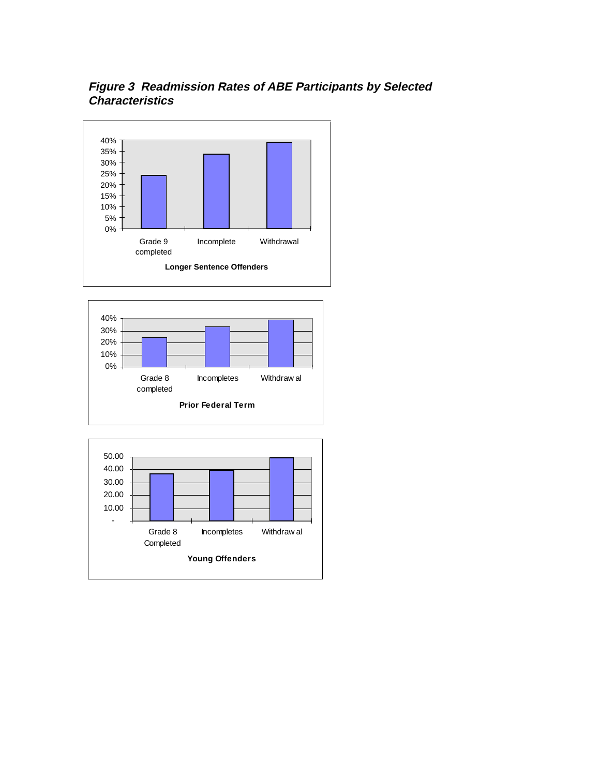**Figure 3 Readmission Rates of ABE Participants by Selected Characteristics**





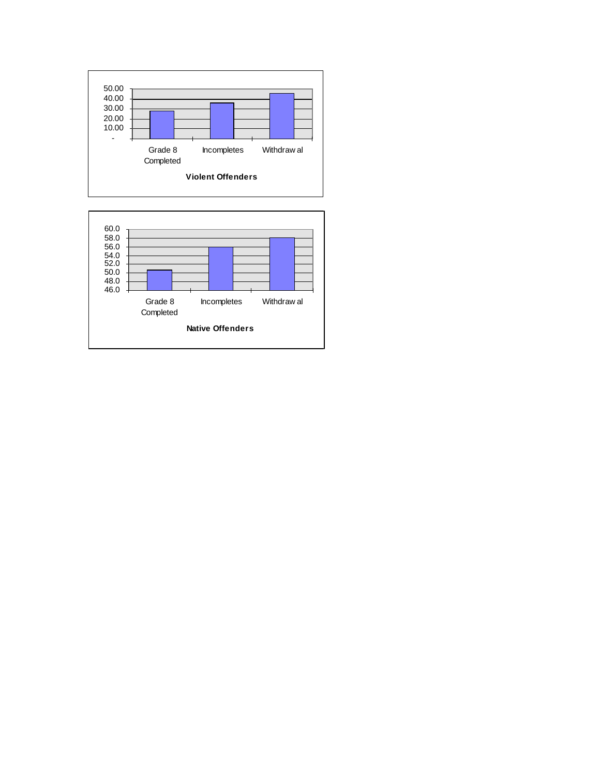

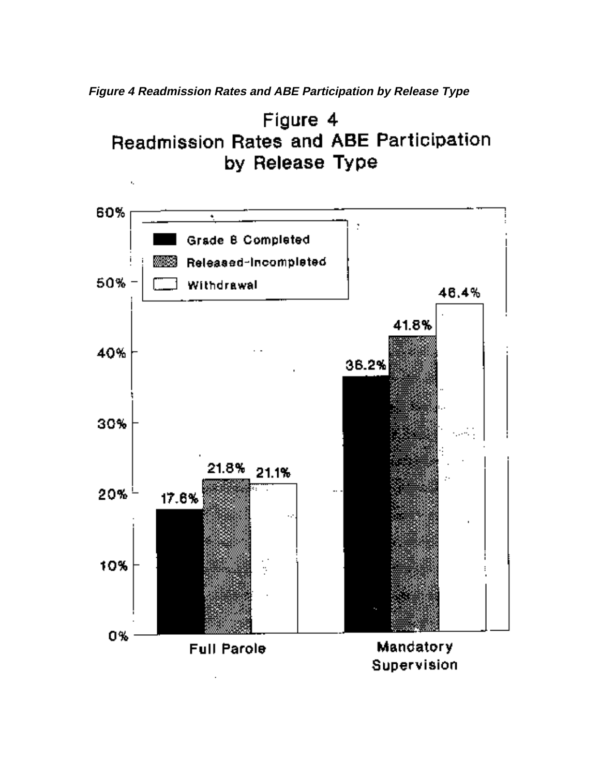**Figure 4 Readmission Rates and ABE Participation by Release Type**

k,





Supervision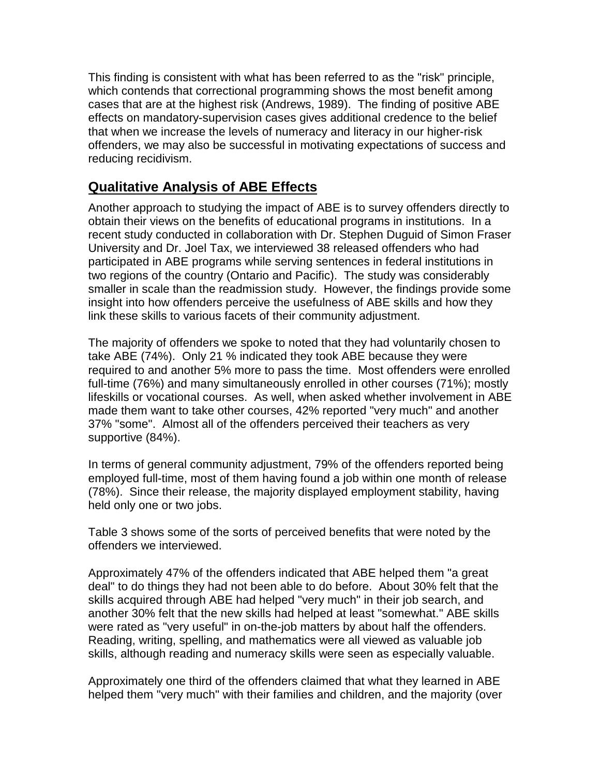This finding is consistent with what has been referred to as the "risk" principle, which contends that correctional programming shows the most benefit among cases that are at the highest risk (Andrews, 1989). The finding of positive ABE effects on mandatory-supervision cases gives additional credence to the belief that when we increase the levels of numeracy and literacy in our higher-risk offenders, we may also be successful in motivating expectations of success and reducing recidivism.

### **Qualitative Analysis of ABE Effects**

Another approach to studying the impact of ABE is to survey offenders directly to obtain their views on the benefits of educational programs in institutions. In a recent study conducted in collaboration with Dr. Stephen Duguid of Simon Fraser University and Dr. Joel Tax, we interviewed 38 released offenders who had participated in ABE programs while serving sentences in federal institutions in two regions of the country (Ontario and Pacific). The study was considerably smaller in scale than the readmission study. However, the findings provide some insight into how offenders perceive the usefulness of ABE skills and how they link these skills to various facets of their community adjustment.

The majority of offenders we spoke to noted that they had voluntarily chosen to take ABE (74%). Only 21 % indicated they took ABE because they were required to and another 5% more to pass the time. Most offenders were enrolled full-time (76%) and many simultaneously enrolled in other courses (71%); mostly lifeskills or vocational courses. As well, when asked whether involvement in ABE made them want to take other courses, 42% reported "very much" and another 37% "some". Almost all of the offenders perceived their teachers as very supportive (84%).

In terms of general community adjustment, 79% of the offenders reported being employed full-time, most of them having found a job within one month of release (78%). Since their release, the majority displayed employment stability, having held only one or two jobs.

Table 3 shows some of the sorts of perceived benefits that were noted by the offenders we interviewed.

Approximately 47% of the offenders indicated that ABE helped them "a great deal" to do things they had not been able to do before. About 30% felt that the skills acquired through ABE had helped "very much" in their job search, and another 30% felt that the new skills had helped at least "somewhat." ABE skills were rated as "very useful" in on-the-job matters by about half the offenders. Reading, writing, spelling, and mathematics were all viewed as valuable job skills, although reading and numeracy skills were seen as especially valuable.

Approximately one third of the offenders claimed that what they learned in ABE helped them "very much" with their families and children, and the majority (over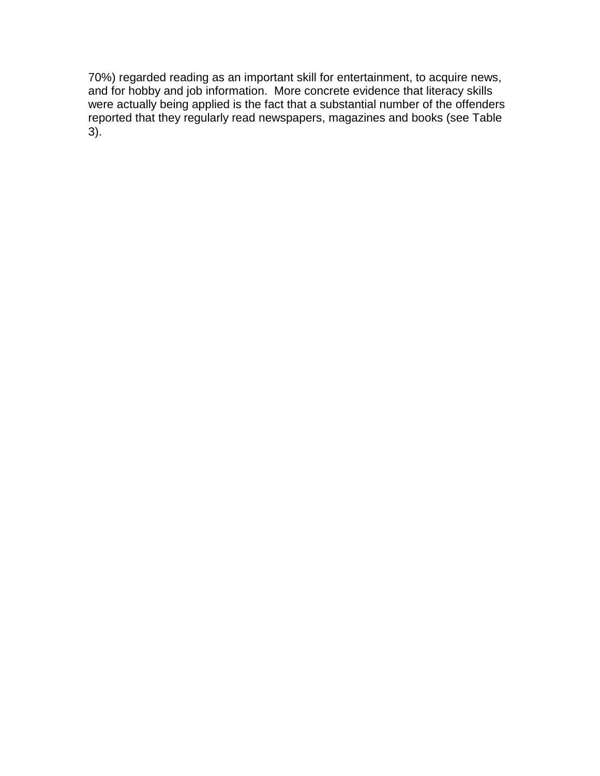70%) regarded reading as an important skill for entertainment, to acquire news, and for hobby and job information. More concrete evidence that literacy skills were actually being applied is the fact that a substantial number of the offenders reported that they regularly read newspapers, magazines and books (see Table 3).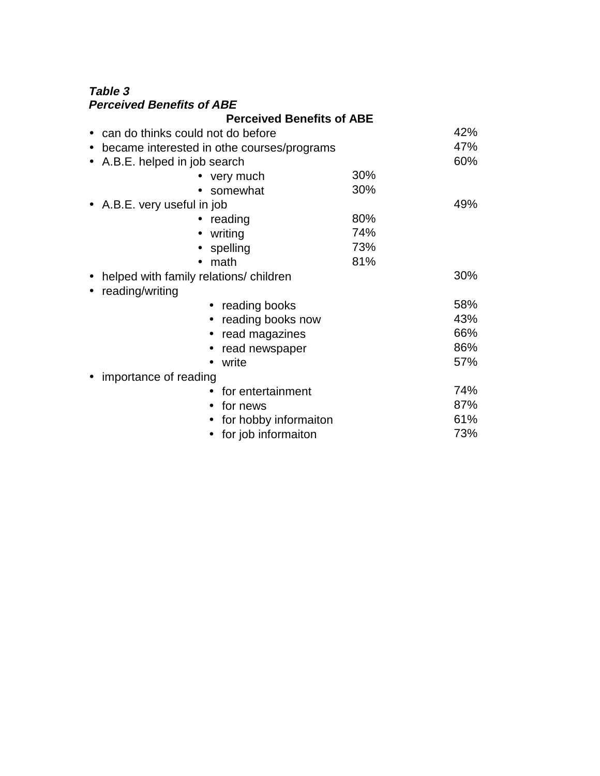#### **Table 3 Perceived Benefits of ABE**

|                                                         | <b>Perceived Benefits of ABE</b> |     |     |
|---------------------------------------------------------|----------------------------------|-----|-----|
| can do thinks could not do before                       |                                  |     | 42% |
| became interested in othe courses/programs<br>$\bullet$ |                                  |     | 47% |
| A.B.E. helped in job search                             |                                  |     | 60% |
|                                                         | very much                        | 30% |     |
|                                                         | somewhat                         | 30% |     |
| • A.B.E. very useful in job                             |                                  |     | 49% |
|                                                         | reading                          | 80% |     |
| $\bullet$                                               | writing                          | 74% |     |
|                                                         | spelling                         | 73% |     |
|                                                         | math                             | 81% |     |
| helped with family relations/ children<br>$\bullet$     |                                  |     | 30% |
| reading/writing<br>$\bullet$                            |                                  |     |     |
|                                                         | reading books                    |     | 58% |
|                                                         | reading books now                |     | 43% |
|                                                         | read magazines<br>$\bullet$      |     | 66% |
|                                                         | read newspaper                   |     | 86% |
|                                                         | write                            |     | 57% |
| importance of reading                                   |                                  |     |     |
|                                                         | for entertainment                |     | 74% |
|                                                         | for news<br>$\bullet$            |     | 87% |
|                                                         | for hobby informaiton            |     | 61% |
|                                                         | for job informaiton              |     | 73% |
|                                                         |                                  |     |     |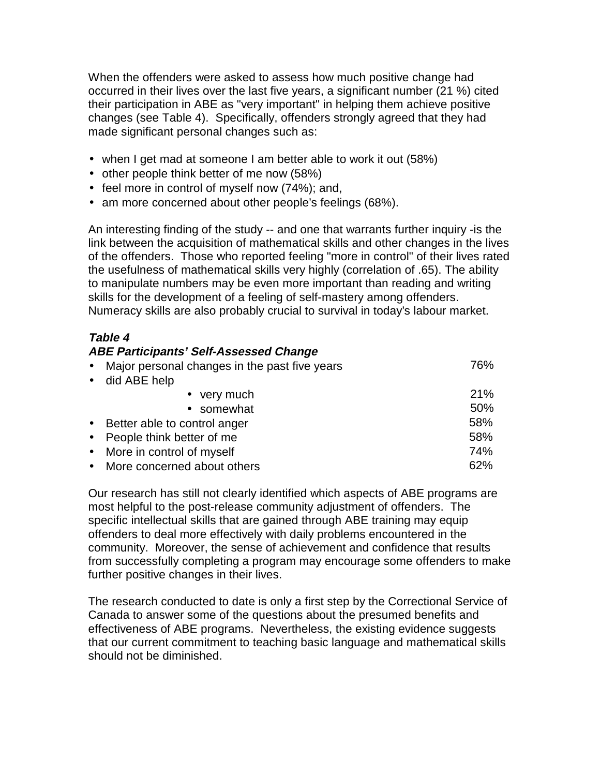When the offenders were asked to assess how much positive change had occurred in their lives over the last five years, a significant number (21 %) cited their participation in ABE as "very important" in helping them achieve positive changes (see Table 4). Specifically, offenders strongly agreed that they had made significant personal changes such as:

- when I get mad at someone I am better able to work it out (58%)
- other people think better of me now (58%)
- feel more in control of myself now (74%); and,
- am more concerned about other people's feelings (68%).

An interesting finding of the study -- and one that warrants further inquiry -is the link between the acquisition of mathematical skills and other changes in the lives of the offenders. Those who reported feeling "more in control" of their lives rated the usefulness of mathematical skills very highly (correlation of .65). The ability to manipulate numbers may be even more important than reading and writing skills for the development of a feeling of self-mastery among offenders. Numeracy skills are also probably crucial to survival in today's labour market.

#### **Table 4**

#### **ABE Participants' Self-Assessed Change**

| $\bullet$ | Major personal changes in the past five years | 76% |
|-----------|-----------------------------------------------|-----|
|           | $\bullet$ did ABE help                        |     |
|           | $\bullet\text{ very much}$                    | 21% |
|           | • somewhat                                    | 50% |
|           | • Better able to control anger                | 58% |
|           | • People think better of me                   | 58% |
|           | • More in control of myself                   | 74% |
|           | • More concerned about others                 | 62% |

Our research has still not clearly identified which aspects of ABE programs are most helpful to the post-release community adjustment of offenders. The specific intellectual skills that are gained through ABE training may equip offenders to deal more effectively with daily problems encountered in the community. Moreover, the sense of achievement and confidence that results from successfully completing a program may encourage some offenders to make further positive changes in their lives.

The research conducted to date is only a first step by the Correctional Service of Canada to answer some of the questions about the presumed benefits and effectiveness of ABE programs. Nevertheless, the existing evidence suggests that our current commitment to teaching basic language and mathematical skills should not be diminished.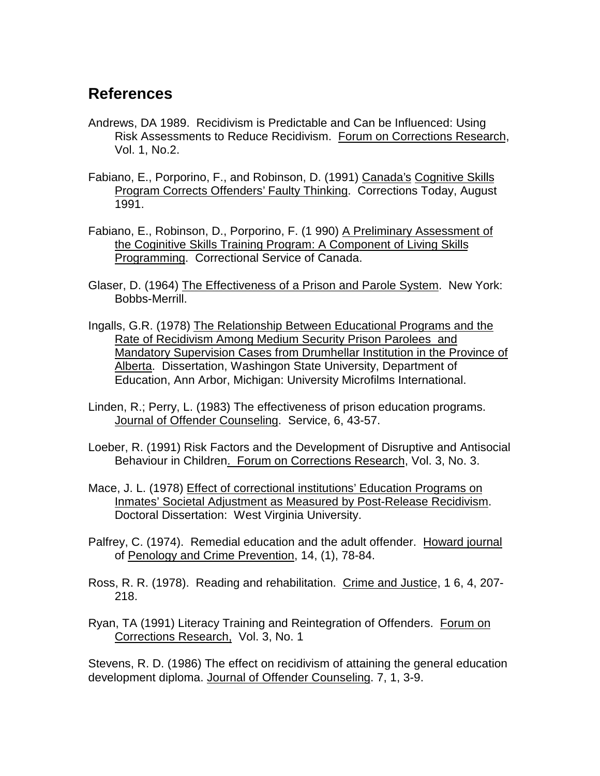### **References**

- Andrews, DA 1989. Recidivism is Predictable and Can be Influenced: Using Risk Assessments to Reduce Recidivism. Forum on Corrections Research, Vol. 1, No.2.
- Fabiano, E., Porporino, F., and Robinson, D. (1991) Canada's Cognitive Skills Program Corrects Offenders' Faulty Thinking. Corrections Today, August 1991.
- Fabiano, E., Robinson, D., Porporino, F. (1 990) A Preliminary Assessment of the Coginitive Skills Training Program: A Component of Living Skills Programming. Correctional Service of Canada.
- Glaser, D. (1964) The Effectiveness of a Prison and Parole System. New York: Bobbs-Merrill.
- Ingalls, G.R. (1978) The Relationship Between Educational Programs and the Rate of Recidivism Among Medium Security Prison Parolees and Mandatory Supervision Cases from Drumhellar Institution in the Province of Alberta. Dissertation, Washingon State University, Department of Education, Ann Arbor, Michigan: University Microfilms International.
- Linden, R.; Perry, L. (1983) The effectiveness of prison education programs. Journal of Offender Counseling. Service, 6, 43-57.
- Loeber, R. (1991) Risk Factors and the Development of Disruptive and Antisocial Behaviour in Children. Forum on Corrections Research, Vol. 3, No. 3.
- Mace, J. L. (1978) Effect of correctional institutions' Education Programs on Inmates' Societal Adjustment as Measured by Post-Release Recidivism. Doctoral Dissertation: West Virginia University.
- Palfrey, C. (1974). Remedial education and the adult offender. Howard journal of Penology and Crime Prevention, 14, (1), 78-84.
- Ross, R. R. (1978). Reading and rehabilitation. Crime and Justice, 1 6, 4, 207- 218.
- Ryan, TA (1991) Literacy Training and Reintegration of Offenders. Forum on Corrections Research, Vol. 3, No. 1

Stevens, R. D. (1986) The effect on recidivism of attaining the general education development diploma. Journal of Offender Counseling. 7, 1, 3-9.